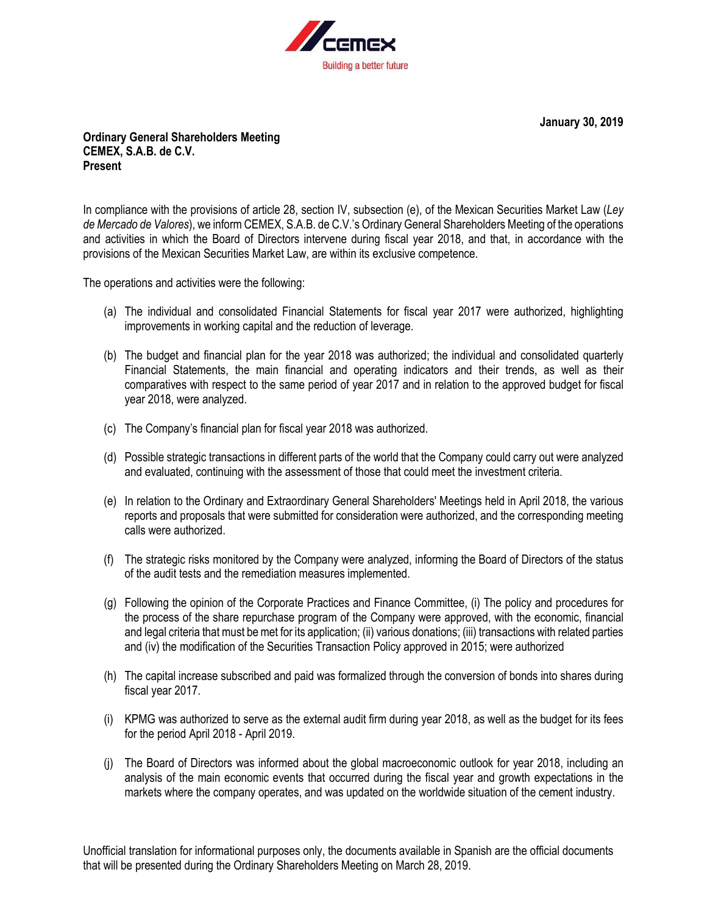

**January 30, 2019**

## **Ordinary General Shareholders Meeting CEMEX, S.A.B. de C.V. Present**

In compliance with the provisions of article 28, section IV, subsection (e), of the Mexican Securities Market Law (*Ley de Mercado de Valores*), we inform CEMEX, S.A.B. de C.V.'s Ordinary General Shareholders Meeting of the operations and activities in which the Board of Directors intervene during fiscal year 2018, and that, in accordance with the provisions of the Mexican Securities Market Law, are within its exclusive competence.

The operations and activities were the following:

- (a) The individual and consolidated Financial Statements for fiscal year 2017 were authorized, highlighting improvements in working capital and the reduction of leverage.
- (b) The budget and financial plan for the year 2018 was authorized; the individual and consolidated quarterly Financial Statements, the main financial and operating indicators and their trends, as well as their comparatives with respect to the same period of year 2017 and in relation to the approved budget for fiscal year 2018, were analyzed.
- (c) The Company's financial plan for fiscal year 2018 was authorized.
- (d) Possible strategic transactions in different parts of the world that the Company could carry out were analyzed and evaluated, continuing with the assessment of those that could meet the investment criteria.
- (e) In relation to the Ordinary and Extraordinary General Shareholders' Meetings held in April 2018, the various reports and proposals that were submitted for consideration were authorized, and the corresponding meeting calls were authorized.
- (f) The strategic risks monitored by the Company were analyzed, informing the Board of Directors of the status of the audit tests and the remediation measures implemented.
- (g) Following the opinion of the Corporate Practices and Finance Committee, (i) The policy and procedures for the process of the share repurchase program of the Company were approved, with the economic, financial and legal criteria that must be met for its application; (ii) various donations; (iii) transactions with related parties and (iv) the modification of the Securities Transaction Policy approved in 2015; were authorized
- (h) The capital increase subscribed and paid was formalized through the conversion of bonds into shares during fiscal year 2017.
- (i) KPMG was authorized to serve as the external audit firm during year 2018, as well as the budget for its fees for the period April 2018 - April 2019.
- (j) The Board of Directors was informed about the global macroeconomic outlook for year 2018, including an analysis of the main economic events that occurred during the fiscal year and growth expectations in the markets where the company operates, and was updated on the worldwide situation of the cement industry.

Unofficial translation for informational purposes only, the documents available in Spanish are the official documents that will be presented during the Ordinary Shareholders Meeting on March 28, 2019.